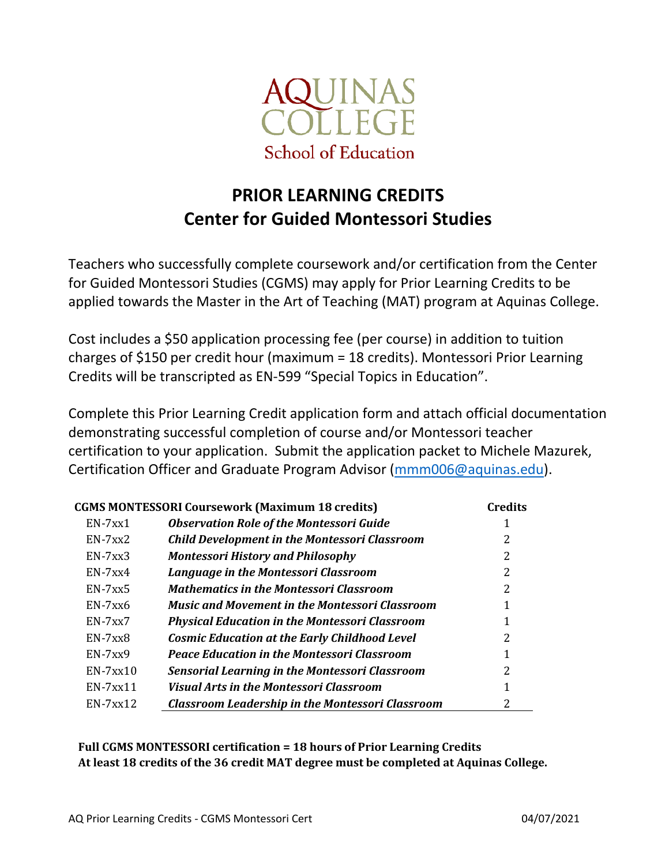

## PRIOR LEARNING CREDITS Center for Guided Montessori Studies

Teachers who successfully complete coursework and/or certification from the Center for Guided Montessori Studies (CGMS) may apply for Prior Learning Credits to be applied towards the Master in the Art of Teaching (MAT) program at Aquinas College.

Cost includes a \$50 application processing fee (per course) in addition to tuition charges of \$150 per credit hour (maximum = 18 credits). Montessori Prior Learning Credits will be transcripted as EN-599 "Special Topics in Education".

Complete this Prior Learning Credit application form and attach official documentation demonstrating successful completion of course and/or Montessori teacher certification to your application. Submit the application packet to Michele Mazurek, Certification Officer and Graduate Program Advisor (mmm006@aquinas.edu).

| <b>CGMS MONTESSORI Coursework (Maximum 18 credits)</b> |                                                         | <b>Credits</b> |
|--------------------------------------------------------|---------------------------------------------------------|----------------|
| $EN-7xx1$                                              | <b>Observation Role of the Montessori Guide</b>         |                |
| $EN-7xx2$                                              | <b>Child Development in the Montessori Classroom</b>    | 2              |
| $EN-7xx3$                                              | <b>Montessori History and Philosophy</b>                | 2              |
| $EN-7xx4$                                              | <b>Language in the Montessori Classroom</b>             | 2              |
| $EN-7xx5$                                              | Mathematics in the Montessori Classroom                 | 2              |
| $EN-7xx6$                                              | <b>Music and Movement in the Montessori Classroom</b>   |                |
| $EN-7xx7$                                              | <b>Physical Education in the Montessori Classroom</b>   |                |
| $EN-7xx8$                                              | <b>Cosmic Education at the Early Childhood Level</b>    | 2              |
| $EN-7xx9$                                              | <b>Peace Education in the Montessori Classroom</b>      |                |
| $EN-7xx10$                                             | <b>Sensorial Learning in the Montessori Classroom</b>   | 2              |
| $EN-7xx11$                                             | Visual Arts in the Montessori Classroom                 |                |
| $EN-7xx12$                                             | <b>Classroom Leadership in the Montessori Classroom</b> | 2              |

Full CGMS MONTESSORI certification = 18 hours of Prior Learning Credits At least 18 credits of the 36 credit MAT degree must be completed at Aquinas College.